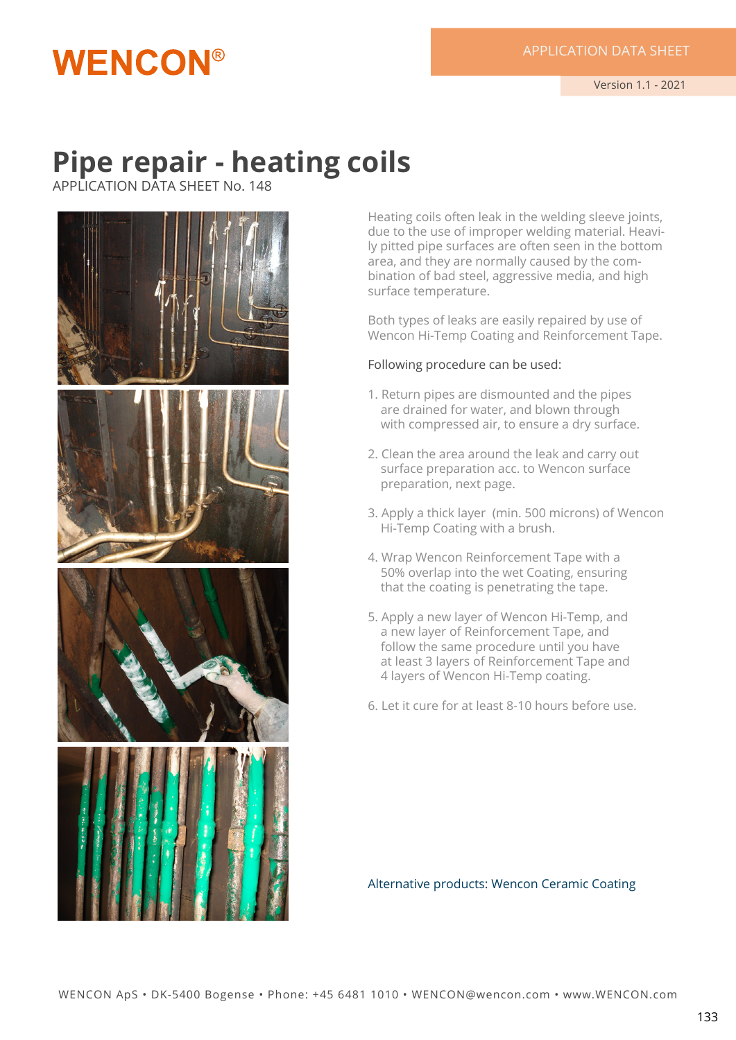## **Pipe repair - heating coils**

APPLICATION DATA SHEET No. 148

**WENCON®** 



Heating coils often leak in the welding sleeve joints, due to the use of improper welding material. Heavily pitted pipe surfaces are often seen in the bottom area, and they are normally caused by the combination of bad steel, aggressive media, and high surface temperature.

Both types of leaks are easily repaired by use of Wencon Hi-Temp Coating and Reinforcement Tape.

#### Following procedure can be used:

- 1. Return pipes are dismounted and the pipes are drained for water, and blown through with compressed air, to ensure a dry surface.
- 2. Clean the area around the leak and carry out surface preparation acc. to Wencon surface preparation, next page.
- 3. Apply a thick layer (min. 500 microns) of Wencon Hi-Temp Coating with a brush.
- 4. Wrap Wencon Reinforcement Tape with a 50% overlap into the wet Coating, ensuring that the coating is penetrating the tape.
- 5. Apply a new layer of Wencon Hi-Temp, and a new layer of Reinforcement Tape, and follow the same procedure until you have at least 3 layers of Reinforcement Tape and 4 layers of Wencon Hi-Temp coating.
- 6. Let it cure for at least 8-10 hours before use.

Alternative products: Wencon Ceramic Coating